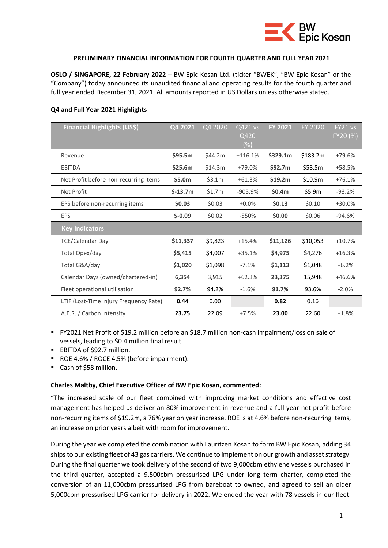

### **PRELIMINARY FINANCIAL INFORMATION FOR FOURTH QUARTER AND FULL YEAR 2021**

**OSLO / SINGAPORE, 22 February 2022** – BW Epic Kosan Ltd. (ticker "BWEK", "BW Epic Kosan" or the "Company") today announced its unaudited financial and operating results for the fourth quarter and full year ended December 31, 2021. All amounts reported in US Dollars unless otherwise stated.

# **Q4 and Full Year 2021 Highlights**

| <b>Financial Highlights (US\$)</b>     | Q4 2021   | Q4 2020 | Q421 vs   | <b>FY 2021</b> | FY 2020  | FY21 vs  |
|----------------------------------------|-----------|---------|-----------|----------------|----------|----------|
|                                        |           |         | Q420      |                |          | FY20 (%) |
|                                        |           |         | $(\%)$    |                |          |          |
| Revenue                                | \$95.5m   | \$44.2m | $+116.1%$ | \$329.1m       | \$183.2m | $+79.6%$ |
| <b>EBITDA</b>                          | \$25.6m   | \$14.3m | +79.0%    | \$92.7m        | \$58.5m  | +58.5%   |
| Net Profit before non-recurring items  | \$5.0m    | \$3.1m  | $+61.3%$  | \$19.2m\$      | \$10.9m  | $+76.1%$ |
| Net Profit                             | $$-13.7m$ | \$1.7m  | $-905.9%$ | \$0.4m         | \$5.9m   | $-93.2%$ |
| EPS before non-recurring items         | \$0.03\$  | \$0.03  | $+0.0%$   | \$0.13         | \$0.10   | $+30.0%$ |
| <b>EPS</b>                             | $$-0.09$  | \$0.02  | $-550%$   | \$0.00         | \$0.06   | $-94.6%$ |
| <b>Key Indicators</b>                  |           |         |           |                |          |          |
| <b>TCE/Calendar Day</b>                | \$11,337  | \$9,823 | $+15.4%$  | \$11,126       | \$10,053 | $+10.7%$ |
| Total Opex/day                         | \$5,415   | \$4,007 | $+35.1%$  | \$4,975        | \$4,276  | $+16.3%$ |
| Total G&A/day                          | \$1,020   | \$1,098 | $-7.1%$   | \$1,113        | \$1,048  | $+6.2%$  |
| Calendar Days (owned/chartered-in)     | 6,354     | 3,915   | $+62.3%$  | 23,375         | 15,948   | $+46.6%$ |
| Fleet operational utilisation          | 92.7%     | 94.2%   | $-1.6%$   | 91.7%          | 93.6%    | $-2.0%$  |
| LTIF (Lost-Time Injury Frequency Rate) | 0.44      | 0.00    |           | 0.82           | 0.16     |          |
| A.E.R. / Carbon Intensity              | 23.75     | 22.09   | $+7.5%$   | 23.00          | 22.60    | $+1.8%$  |

▪ FY2021 Net Profit of \$19.2 million before an \$18.7 million non-cash impairment/loss on sale of vessels, leading to \$0.4 million final result.

- EBITDA of \$92.7 million.
- ROE 4.6% / ROCE 4.5% (before impairment).
- Cash of \$58 million.

### **Charles Maltby, Chief Executive Officer of BW Epic Kosan, commented:**

"The increased scale of our fleet combined with improving market conditions and effective cost management has helped us deliver an 80% improvement in revenue and a full year net profit before non-recurring items of \$19.2m, a 76% year on year increase. ROE is at 4.6% before non-recurring items, an increase on prior years albeit with room for improvement.

During the year we completed the combination with Lauritzen Kosan to form BW Epic Kosan, adding 34 ships to our existing fleet of 43 gas carriers. We continue to implement on our growth and asset strategy. During the final quarter we took delivery of the second of two 9,000cbm ethylene vessels purchased in the third quarter, accepted a 9,500cbm pressurised LPG under long term charter, completed the conversion of an 11,000cbm pressurised LPG from bareboat to owned, and agreed to sell an older 5,000cbm pressurised LPG carrier for delivery in 2022. We ended the year with 78 vessels in our fleet.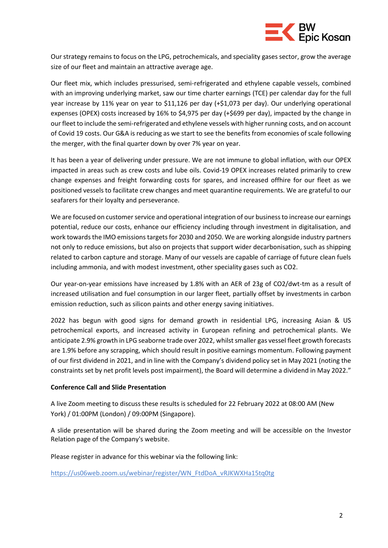

Our strategy remains to focus on the LPG, petrochemicals, and speciality gases sector, grow the average size of our fleet and maintain an attractive average age.

Our fleet mix, which includes pressurised, semi-refrigerated and ethylene capable vessels, combined with an improving underlying market, saw our time charter earnings (TCE) per calendar day for the full year increase by 11% year on year to \$11,126 per day (+\$1,073 per day). Our underlying operational expenses (OPEX) costs increased by 16% to \$4,975 per day (+\$699 per day), impacted by the change in our fleet to include the semi-refrigerated and ethylene vessels with higher running costs, and on account of Covid 19 costs. Our G&A is reducing as we start to see the benefits from economies of scale following the merger, with the final quarter down by over 7% year on year.

It has been a year of delivering under pressure. We are not immune to global inflation, with our OPEX impacted in areas such as crew costs and lube oils. Covid-19 OPEX increases related primarily to crew change expenses and freight forwarding costs for spares, and increased offhire for our fleet as we positioned vessels to facilitate crew changes and meet quarantine requirements. We are grateful to our seafarers for their loyalty and perseverance.

We are focused on customer service and operational integration of our business to increase our earnings potential, reduce our costs, enhance our efficiency including through investment in digitalisation, and work towards the IMO emissions targets for 2030 and 2050. We are working alongside industry partners not only to reduce emissions, but also on projects that support wider decarbonisation, such as shipping related to carbon capture and storage. Many of our vessels are capable of carriage of future clean fuels including ammonia, and with modest investment, other speciality gases such as CO2.

Our year-on-year emissions have increased by 1.8% with an AER of 23g of CO2/dwt-tm as a result of increased utilisation and fuel consumption in our larger fleet, partially offset by investments in carbon emission reduction, such as silicon paints and other energy saving initiatives.

2022 has begun with good signs for demand growth in residential LPG, increasing Asian & US petrochemical exports, and increased activity in European refining and petrochemical plants. We anticipate 2.9% growth in LPG seaborne trade over 2022, whilst smaller gas vessel fleet growth forecasts are 1.9% before any scrapping, which should result in positive earnings momentum. Following payment of our first dividend in 2021, and in line with the Company's dividend policy set in May 2021 (noting the constraints set by net profit levels post impairment), the Board will determine a dividend in May 2022."

### **Conference Call and Slide Presentation**

A live Zoom meeting to discuss these results is scheduled for 22 February 2022 at 08:00 AM (New York) / 01:00PM (London) / 09:00PM (Singapore).

A slide presentation will be shared during the Zoom meeting and will be accessible on the Investor Relation page of the Company's website.

Please register in advance for this webinar via the following link:

[https://us06web.zoom.us/webinar/register/WN\\_FtdDoA\\_vRJKWXHa15tq0tg](https://us06web.zoom.us/webinar/register/WN_FtdDoA_vRJKWXHa15tq0tg)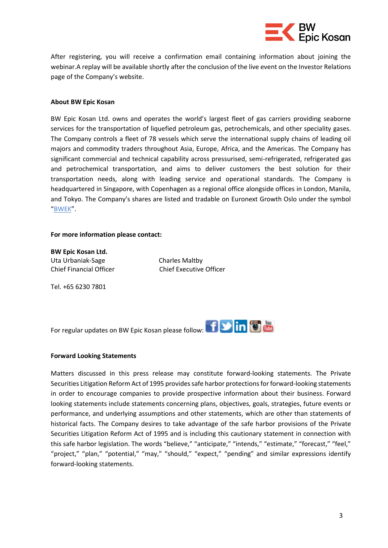

After registering, you will receive a confirmation email containing information about joining the webinar.A replay will be available shortly after the conclusion of the live event on the Investor Relations page of the Company's website.

### **About BW Epic Kosan**

BW Epic Kosan Ltd. owns and operates the world's largest fleet of gas carriers providing seaborne services for the transportation of liquefied petroleum gas, petrochemicals, and other speciality gases. The Company controls a fleet of 78 vessels which serve the international supply chains of leading oil majors and commodity traders throughout Asia, Europe, Africa, and the Americas. The Company has significant commercial and technical capability across pressurised, semi-refrigerated, refrigerated gas and petrochemical transportation, and aims to deliver customers the best solution for their transportation needs, along with leading service and operational standards. The Company is headquartered in Singapore, with Copenhagen as a regional office alongside offices in London, Manila, and Tokyo. The Company's shares are listed and tradable on Euronext Growth Oslo under the symbol "[BWEK](https://live.euronext.com/en/product/equities/SGXZ80461361-MERK)".

#### **For more information please contact:**

**BW Epic Kosan Ltd.** Uta Urbaniak-Sage Charles Maltby Chief Financial Officer Chief Executive Officer

Tel. +65 6230 7801

Forregular updates on BW Epic Kosan please follow: **For all and Contract Contract Contract** 

### **Forward Looking Statements**

Matters discussed in this press release may constitute forward-looking statements. The Private Securities Litigation Reform Act of 1995 provides safe harbor protections for forward-looking statements in order to encourage companies to provide prospective information about their business. Forward looking statements include statements concerning plans, objectives, goals, strategies, future events or performance, and underlying assumptions and other statements, which are other than statements of historical facts. The Company desires to take advantage of the safe harbor provisions of the Private Securities Litigation Reform Act of 1995 and is including this cautionary statement in connection with this safe harbor legislation. The words "believe," "anticipate," "intends," "estimate," "forecast," "feel," "project," "plan," "potential," "may," "should," "expect," "pending" and similar expressions identify forward-looking statements.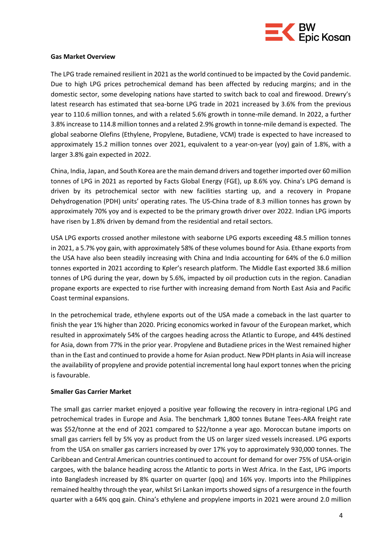

### **Gas Market Overview**

The LPG trade remained resilient in 2021 as the world continued to be impacted by the Covid pandemic. Due to high LPG prices petrochemical demand has been affected by reducing margins; and in the domestic sector, some developing nations have started to switch back to coal and firewood. Drewry's latest research has estimated that sea-borne LPG trade in 2021 increased by 3.6% from the previous year to 110.6 million tonnes, and with a related 5.6% growth in tonne-mile demand. In 2022, a further 3.8% increase to 114.8 million tonnes and a related 2.9% growth in tonne-mile demand is expected. The global seaborne Olefins (Ethylene, Propylene, Butadiene, VCM) trade is expected to have increased to approximately 15.2 million tonnes over 2021, equivalent to a year-on-year (yoy) gain of 1.8%, with a larger 3.8% gain expected in 2022.

China, India, Japan, and South Korea are the main demand drivers and together imported over 60 million tonnes of LPG in 2021 as reported by Facts Global Energy (FGE), up 8.6% yoy. China's LPG demand is driven by its petrochemical sector with new facilities starting up, and a recovery in Propane Dehydrogenation (PDH) units' operating rates. The US-China trade of 8.3 million tonnes has grown by approximately 70% yoy and is expected to be the primary growth driver over 2022. Indian LPG imports have risen by 1.8% driven by demand from the residential and retail sectors.

USA LPG exports crossed another milestone with seaborne LPG exports exceeding 48.5 million tonnes in 2021, a 5.7% yoy gain, with approximately 58% of these volumes bound for Asia. Ethane exports from the USA have also been steadily increasing with China and India accounting for 64% of the 6.0 million tonnes exported in 2021 according to Kpler's research platform. The Middle East exported 38.6 million tonnes of LPG during the year, down by 5.6%, impacted by oil production cuts in the region. Canadian propane exports are expected to rise further with increasing demand from North East Asia and Pacific Coast terminal expansions.

In the petrochemical trade, ethylene exports out of the USA made a comeback in the last quarter to finish the year 1% higher than 2020. Pricing economics worked in favour of the European market, which resulted in approximately 54% of the cargoes heading across the Atlantic to Europe, and 44% destined for Asia, down from 77% in the prior year. Propylene and Butadiene prices in the West remained higher than in the East and continued to provide a home for Asian product. New PDH plants in Asia will increase the availability of propylene and provide potential incremental long haul export tonnes when the pricing is favourable.

### **Smaller Gas Carrier Market**

The small gas carrier market enjoyed a positive year following the recovery in intra-regional LPG and petrochemical trades in Europe and Asia. The benchmark 1,800 tonnes Butane Tees-ARA freight rate was \$52/tonne at the end of 2021 compared to \$22/tonne a year ago. Moroccan butane imports on small gas carriers fell by 5% yoy as product from the US on larger sized vessels increased. LPG exports from the USA on smaller gas carriers increased by over 17% yoy to approximately 930,000 tonnes. The Caribbean and Central American countries continued to account for demand for over 75% of USA-origin cargoes, with the balance heading across the Atlantic to ports in West Africa. In the East, LPG imports into Bangladesh increased by 8% quarter on quarter (qoq) and 16% yoy. Imports into the Philippines remained healthy through the year, whilst Sri Lankan imports showed signs of a resurgence in the fourth quarter with a 64% qoq gain. China's ethylene and propylene imports in 2021 were around 2.0 million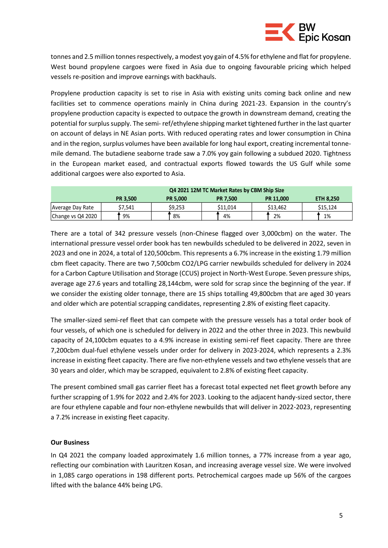

tonnes and 2.5 million tonnes respectively, a modest yoy gain of 4.5% for ethylene and flat for propylene. West bound propylene cargoes were fixed in Asia due to ongoing favourable pricing which helped vessels re-position and improve earnings with backhauls.

Propylene production capacity is set to rise in Asia with existing units coming back online and new facilities set to commence operations mainly in China during 2021-23. Expansion in the country's propylene production capacity is expected to outpace the growth in downstream demand, creating the potential for surplus supply. The semi- ref/ethylene shipping market tightened further in the last quarter on account of delays in NE Asian ports. With reduced operating rates and lower consumption in China and in the region, surplus volumes have been available for long haul export, creating incremental tonnemile demand. The butadiene seaborne trade saw a 7.0% yoy gain following a subdued 2020. Tightness in the European market eased, and contractual exports flowed towards the US Gulf while some additional cargoes were also exported to Asia.

|                   | Q4 2021 12M TC Market Rates by CBM Ship Size |                 |                 |           |           |  |  |
|-------------------|----------------------------------------------|-----------------|-----------------|-----------|-----------|--|--|
|                   | <b>PR 3.500</b>                              | <b>PR 5.000</b> | <b>PR 7.500</b> | PR 11,000 | ETH 8,250 |  |  |
| Average Day Rate  | \$7,541                                      | \$9,253         | \$11.014        | \$13,462  | \$15.124  |  |  |
| Change vs Q4 2020 | 9%                                           | 8%              | 4%              | 2%        | 1%        |  |  |

There are a total of 342 pressure vessels (non-Chinese flagged over 3,000cbm) on the water. The international pressure vessel order book has ten newbuilds scheduled to be delivered in 2022, seven in 2023 and one in 2024, a total of 120,500cbm. This represents a 6.7% increase in the existing 1.79 million cbm fleet capacity. There are two 7,500cbm CO2/LPG carrier newbuilds scheduled for delivery in 2024 for a Carbon Capture Utilisation and Storage (CCUS) project in North-West Europe. Seven pressure ships, average age 27.6 years and totalling 28,144cbm, were sold for scrap since the beginning of the year. If we consider the existing older tonnage, there are 15 ships totalling 49,800cbm that are aged 30 years and older which are potential scrapping candidates, representing 2.8% of existing fleet capacity.

The smaller-sized semi-ref fleet that can compete with the pressure vessels has a total order book of four vessels, of which one is scheduled for delivery in 2022 and the other three in 2023. This newbuild capacity of 24,100cbm equates to a 4.9% increase in existing semi-ref fleet capacity. There are three 7,200cbm dual-fuel ethylene vessels under order for delivery in 2023-2024, which represents a 2.3% increase in existing fleet capacity. There are five non-ethylene vessels and two ethylene vessels that are 30 years and older, which may be scrapped, equivalent to 2.8% of existing fleet capacity.

The present combined small gas carrier fleet has a forecast total expected net fleet growth before any further scrapping of 1.9% for 2022 and 2.4% for 2023. Looking to the adjacent handy-sized sector, there are four ethylene capable and four non-ethylene newbuilds that will deliver in 2022-2023, representing a 7.2% increase in existing fleet capacity.

### **Our Business**

In Q4 2021 the company loaded approximately 1.6 million tonnes, a 77% increase from a year ago, reflecting our combination with Lauritzen Kosan, and increasing average vessel size. We were involved in 1,085 cargo operations in 198 different ports. Petrochemical cargoes made up 56% of the cargoes lifted with the balance 44% being LPG.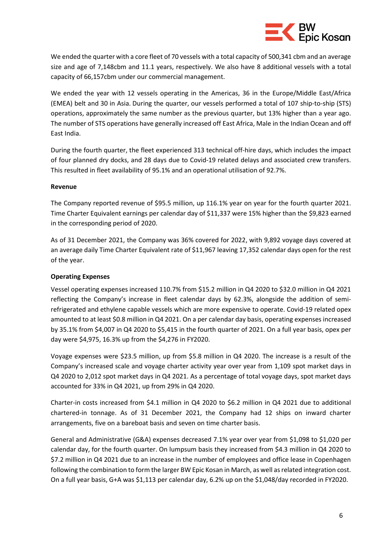

We ended the quarter with a core fleet of 70 vessels with a total capacity of 500,341 cbm and an average size and age of 7,148cbm and 11.1 years, respectively. We also have 8 additional vessels with a total capacity of 66,157cbm under our commercial management.

We ended the year with 12 vessels operating in the Americas, 36 in the Europe/Middle East/Africa (EMEA) belt and 30 in Asia. During the quarter, our vessels performed a total of 107 ship-to-ship (STS) operations, approximately the same number as the previous quarter, but 13% higher than a year ago. The number of STS operations have generally increased off East Africa, Male in the Indian Ocean and off East India.

During the fourth quarter, the fleet experienced 313 technical off-hire days, which includes the impact of four planned dry docks, and 28 days due to Covid-19 related delays and associated crew transfers. This resulted in fleet availability of 95.1% and an operational utilisation of 92.7%.

### **Revenue**

The Company reported revenue of \$95.5 million, up 116.1% year on year for the fourth quarter 2021. Time Charter Equivalent earnings per calendar day of \$11,337 were 15% higher than the \$9,823 earned in the corresponding period of 2020.

As of 31 December 2021, the Company was 36% covered for 2022, with 9,892 voyage days covered at an average daily Time Charter Equivalent rate of \$11,967 leaving 17,352 calendar days open for the rest of the year.

## **Operating Expenses**

Vessel operating expenses increased 110.7% from \$15.2 million in Q4 2020 to \$32.0 million in Q4 2021 reflecting the Company's increase in fleet calendar days by 62.3%, alongside the addition of semirefrigerated and ethylene capable vessels which are more expensive to operate. Covid-19 related opex amounted to at least \$0.8 million in Q4 2021. On a per calendar day basis, operating expenses increased by 35.1% from \$4,007 in Q4 2020 to \$5,415 in the fourth quarter of 2021. On a full year basis, opex per day were \$4,975, 16.3% up from the \$4,276 in FY2020.

Voyage expenses were \$23.5 million, up from \$5.8 million in Q4 2020. The increase is a result of the Company's increased scale and voyage charter activity year over year from 1,109 spot market days in Q4 2020 to 2,012 spot market days in Q4 2021. As a percentage of total voyage days, spot market days accounted for 33% in Q4 2021, up from 29% in Q4 2020.

Charter-in costs increased from \$4.1 million in Q4 2020 to \$6.2 million in Q4 2021 due to additional chartered-in tonnage. As of 31 December 2021, the Company had 12 ships on inward charter arrangements, five on a bareboat basis and seven on time charter basis.

General and Administrative (G&A) expenses decreased 7.1% year over year from \$1,098 to \$1,020 per calendar day, for the fourth quarter. On lumpsum basis they increased from \$4.3 million in Q4 2020 to \$7.2 million in Q4 2021 due to an increase in the number of employees and office lease in Copenhagen following the combination to form the larger BW Epic Kosan in March, as well as related integration cost. On a full year basis, G+A was \$1,113 per calendar day, 6.2% up on the \$1,048/day recorded in FY2020.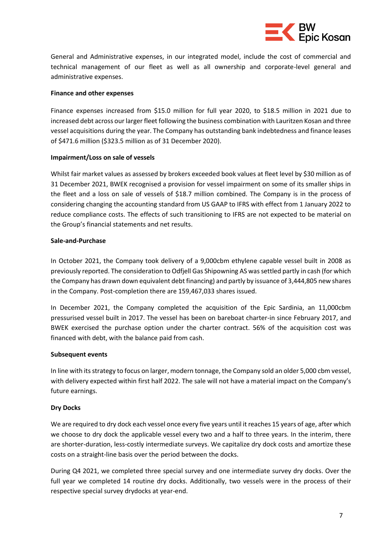

General and Administrative expenses, in our integrated model, include the cost of commercial and technical management of our fleet as well as all ownership and corporate-level general and administrative expenses.

### **Finance and other expenses**

Finance expenses increased from \$15.0 million for full year 2020, to \$18.5 million in 2021 due to increased debt across our larger fleet following the business combination with Lauritzen Kosan and three vessel acquisitions during the year. The Company has outstanding bank indebtedness and finance leases of \$471.6 million (\$323.5 million as of 31 December 2020).

### **Impairment/Loss on sale of vessels**

Whilst fair market values as assessed by brokers exceeded book values at fleet level by \$30 million as of 31 December 2021, BWEK recognised a provision for vessel impairment on some of its smaller ships in the fleet and a loss on sale of vessels of \$18.7 million combined. The Company is in the process of considering changing the accounting standard from US GAAP to IFRS with effect from 1 January 2022 to reduce compliance costs. The effects of such transitioning to IFRS are not expected to be material on the Group's financial statements and net results.

### **Sale-and-Purchase**

In October 2021, the Company took delivery of a 9,000cbm ethylene capable vessel built in 2008 as previously reported. The consideration to Odfjell Gas Shipowning AS was settled partly in cash (for which the Company has drawn down equivalent debt financing) and partly by issuance of 3,444,805 new shares in the Company. Post-completion there are 159,467,033 shares issued.

In December 2021, the Company completed the acquisition of the Epic Sardinia, an 11,000cbm pressurised vessel built in 2017. The vessel has been on bareboat charter-in since February 2017, and BWEK exercised the purchase option under the charter contract. 56% of the acquisition cost was financed with debt, with the balance paid from cash.

### **Subsequent events**

In line with its strategy to focus on larger, modern tonnage, the Company sold an older 5,000 cbm vessel, with delivery expected within first half 2022. The sale will not have a material impact on the Company's future earnings.

### **Dry Docks**

We are required to dry dock each vessel once every five years until it reaches 15 years of age, after which we choose to dry dock the applicable vessel every two and a half to three years. In the interim, there are shorter-duration, less-costly intermediate surveys. We capitalize dry dock costs and amortize these costs on a straight-line basis over the period between the docks.

During Q4 2021, we completed three special survey and one intermediate survey dry docks. Over the full year we completed 14 routine dry docks. Additionally, two vessels were in the process of their respective special survey drydocks at year-end.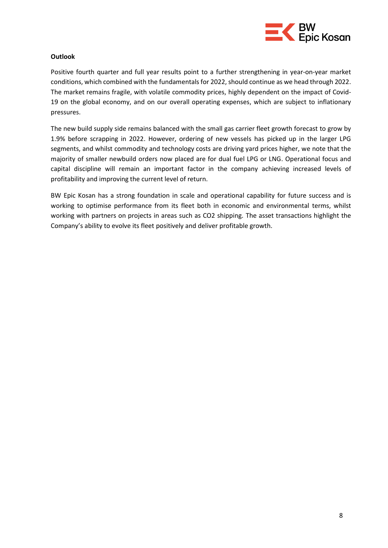

### **Outlook**

Positive fourth quarter and full year results point to a further strengthening in year-on-year market conditions, which combined with the fundamentals for 2022, should continue as we head through 2022. The market remains fragile, with volatile commodity prices, highly dependent on the impact of Covid-19 on the global economy, and on our overall operating expenses, which are subject to inflationary pressures.

The new build supply side remains balanced with the small gas carrier fleet growth forecast to grow by 1.9% before scrapping in 2022. However, ordering of new vessels has picked up in the larger LPG segments, and whilst commodity and technology costs are driving yard prices higher, we note that the majority of smaller newbuild orders now placed are for dual fuel LPG or LNG. Operational focus and capital discipline will remain an important factor in the company achieving increased levels of profitability and improving the current level of return.

BW Epic Kosan has a strong foundation in scale and operational capability for future success and is working to optimise performance from its fleet both in economic and environmental terms, whilst working with partners on projects in areas such as CO2 shipping. The asset transactions highlight the Company's ability to evolve its fleet positively and deliver profitable growth.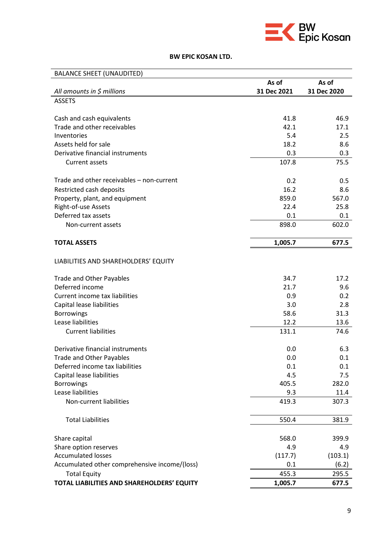

# **BW EPIC KOSAN LTD.**

| <b>BALANCE SHEET (UNAUDITED)</b>              |             |             |
|-----------------------------------------------|-------------|-------------|
|                                               | As of       | As of       |
| All amounts in $$$ millions                   | 31 Dec 2021 | 31 Dec 2020 |
| <b>ASSETS</b>                                 |             |             |
| Cash and cash equivalents                     | 41.8        | 46.9        |
| Trade and other receivables                   | 42.1        | 17.1        |
| Inventories                                   | 5.4         | 2.5         |
| Assets held for sale                          | 18.2        | 8.6         |
| Derivative financial instruments              | 0.3         | 0.3         |
| Current assets                                | 107.8       | 75.5        |
| Trade and other receivables - non-current     | 0.2         | 0.5         |
| Restricted cash deposits                      | 16.2        | 8.6         |
| Property, plant, and equipment                | 859.0       | 567.0       |
| Right-of-use Assets                           | 22.4        | 25.8        |
| Deferred tax assets                           | 0.1         | 0.1         |
| Non-current assets                            | 898.0       | 602.0       |
| <b>TOTAL ASSETS</b>                           | 1,005.7     | 677.5       |
|                                               |             |             |
| LIABILITIES AND SHAREHOLDERS' EQUITY          |             |             |
| <b>Trade and Other Payables</b>               | 34.7        | 17.2        |
| Deferred income                               | 21.7        | 9.6         |
| Current income tax liabilities                | 0.9         | 0.2         |
| Capital lease liabilities                     | 3.0         | 2.8         |
| <b>Borrowings</b>                             | 58.6        | 31.3        |
| Lease liabilities                             | 12.2        | 13.6        |
| <b>Current liabilities</b>                    | 131.1       | 74.6        |
| Derivative financial instruments              | 0.0         | 6.3         |
| <b>Trade and Other Payables</b>               | 0.0         | 0.1         |
| Deferred income tax liabilities               | 0.1         | 0.1         |
| Capital lease liabilities                     | 4.5         | 7.5         |
| <b>Borrowings</b>                             | 405.5       | 282.0       |
| Lease liabilities                             | 9.3         | 11.4        |
| Non-current liabilities                       | 419.3       | 307.3       |
| <b>Total Liabilities</b>                      | 550.4       | 381.9       |
| Share capital                                 | 568.0       | 399.9       |
| Share option reserves                         | 4.9         | 4.9         |
| <b>Accumulated losses</b>                     | (117.7)     | (103.1)     |
| Accumulated other comprehensive income/(loss) | 0.1         | (6.2)       |
| <b>Total Equity</b>                           | 455.3       | 295.5       |
| TOTAL LIABILITIES AND SHAREHOLDERS' EQUITY    | 1,005.7     | 677.5       |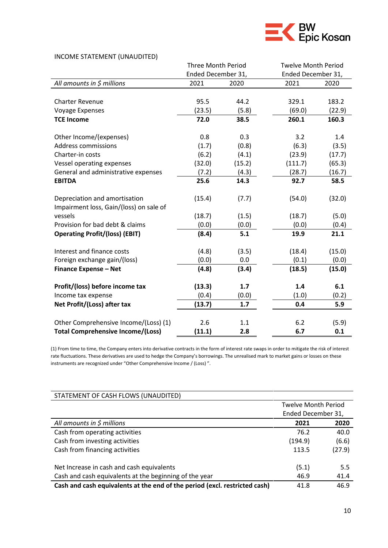

### INCOME STATEMENT (UNAUDITED)

|                                          | <b>Three Month Period</b> |        |                    | <b>Twelve Month Period</b> |  |
|------------------------------------------|---------------------------|--------|--------------------|----------------------------|--|
|                                          | Ended December 31,        |        | Ended December 31, |                            |  |
| All amounts in \$ millions               | 2021                      | 2020   | 2021               | 2020                       |  |
|                                          |                           |        |                    |                            |  |
| <b>Charter Revenue</b>                   | 95.5                      | 44.2   | 329.1              | 183.2                      |  |
| <b>Voyage Expenses</b>                   | (23.5)                    | (5.8)  | (69.0)             | (22.9)                     |  |
| <b>TCE Income</b>                        | 72.0                      | 38.5   | 260.1              | 160.3                      |  |
|                                          |                           |        |                    |                            |  |
| Other Income/(expenses)                  | 0.8                       | 0.3    | 3.2                | 1.4                        |  |
| <b>Address commissions</b>               | (1.7)                     | (0.8)  | (6.3)              | (3.5)                      |  |
| Charter-in costs                         | (6.2)                     | (4.1)  | (23.9)             | (17.7)                     |  |
| Vessel operating expenses                | (32.0)                    | (15.2) | (111.7)            | (65.3)                     |  |
| General and administrative expenses      | (7.2)                     | (4.3)  | (28.7)             | (16.7)                     |  |
| <b>EBITDA</b>                            | 25.6                      | 14.3   | 92.7               | 58.5                       |  |
|                                          |                           |        |                    |                            |  |
| Depreciation and amortisation            | (15.4)                    | (7.7)  | (54.0)             | (32.0)                     |  |
| Impairment loss, Gain/(loss) on sale of  |                           |        |                    |                            |  |
| vessels                                  | (18.7)                    | (1.5)  | (18.7)             | (5.0)                      |  |
| Provision for bad debt & claims          | (0.0)                     | (0.0)  | (0.0)              | (0.4)                      |  |
| <b>Operating Profit/(loss) (EBIT)</b>    | (8.4)                     | 5.1    | 19.9               | 21.1                       |  |
|                                          |                           |        |                    |                            |  |
| Interest and finance costs               | (4.8)                     | (3.5)  | (18.4)             | (15.0)                     |  |
| Foreign exchange gain/(loss)             | (0.0)                     | 0.0    | (0.1)              | (0.0)                      |  |
| <b>Finance Expense - Net</b>             | (4.8)                     | (3.4)  | (18.5)             | (15.0)                     |  |
| Profit/(loss) before income tax          | (13.3)                    | 1.7    | 1.4                | 6.1                        |  |
| Income tax expense                       | (0.4)                     | (0.0)  | (1.0)              | (0.2)                      |  |
| Net Profit/(Loss) after tax              | (13.7)                    | 1.7    | 0.4                | 5.9                        |  |
|                                          |                           |        |                    |                            |  |
| Other Comprehensive Income/(Loss) (1)    | 2.6                       | 1.1    | 6.2                | (5.9)                      |  |
| <b>Total Comprehensive Income/(Loss)</b> | (11.1)                    | 2.8    | 6.7                | 0.1                        |  |

(1) From time to time, the Company enters into derivative contracts in the form of interest rate swaps in order to mitigate the risk of interest rate fluctuations. These derivatives are used to hedge the Company's borrowings. The unrealised mark to market gains or losses on these instruments are recognized under "Other Comprehensive Income / (Loss) ".

| STATEMENT OF CASH FLOWS (UNAUDITED)                                        |                            |        |
|----------------------------------------------------------------------------|----------------------------|--------|
|                                                                            | <b>Twelve Month Period</b> |        |
|                                                                            | Ended December 31,         |        |
| All amounts in $\zeta$ millions                                            | 2021                       | 2020   |
| Cash from operating activities                                             | 76.2                       | 40.0   |
| Cash from investing activities                                             | (194.9)                    | (6.6)  |
| Cash from financing activities                                             | 113.5                      | (27.9) |
|                                                                            |                            |        |
| Net Increase in cash and cash equivalents                                  | (5.1)                      | 5.5    |
| Cash and cash equivalents at the beginning of the year                     | 46.9                       | 41.4   |
| Cash and cash equivalents at the end of the period (excl. restricted cash) | 41.8                       | 46.9   |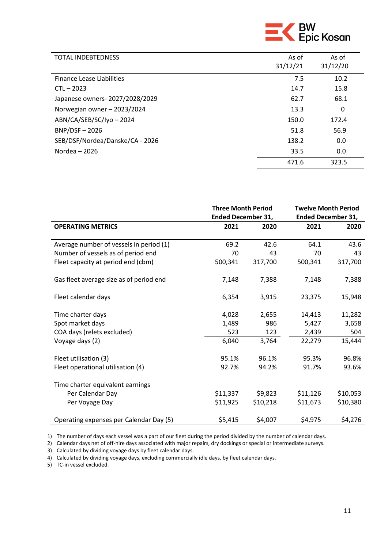

| <b>TOTAL INDEBTEDNESS</b>       | As of<br>31/12/21 | As of<br>31/12/20 |
|---------------------------------|-------------------|-------------------|
| Finance Lease Liabilities       | 7.5               | 10.2              |
| $CTL - 2023$                    | 14.7              | 15.8              |
| Japanese owners-2027/2028/2029  | 62.7              | 68.1              |
| Norwegian owner - 2023/2024     | 13.3              | 0                 |
| ABN/CA/SEB/SC/Iyo-2024          | 150.0             | 172.4             |
| $BNP/DSF - 2026$                | 51.8              | 56.9              |
| SEB/DSF/Nordea/Danske/CA - 2026 | 138.2             | 0.0               |
| Nordea $-2026$                  | 33.5              | 0.0               |
|                                 | 471.6             | 323.5             |

|                                         |          | <b>Three Month Period</b><br><b>Ended December 31,</b> |          | <b>Twelve Month Period</b><br><b>Ended December 31,</b> |  |
|-----------------------------------------|----------|--------------------------------------------------------|----------|---------------------------------------------------------|--|
| <b>OPERATING METRICS</b>                | 2021     | 2020                                                   | 2021     | 2020                                                    |  |
| Average number of vessels in period (1) | 69.2     | 42.6                                                   | 64.1     | 43.6                                                    |  |
| Number of vessels as of period end      | 70       | 43                                                     | 70       | 43                                                      |  |
| Fleet capacity at period end (cbm)      | 500,341  | 317,700                                                | 500,341  | 317,700                                                 |  |
| Gas fleet average size as of period end | 7,148    | 7,388                                                  | 7,148    | 7,388                                                   |  |
| Fleet calendar days                     | 6,354    | 3,915                                                  | 23,375   | 15,948                                                  |  |
| Time charter days                       | 4,028    | 2,655                                                  | 14,413   | 11,282                                                  |  |
| Spot market days                        | 1,489    | 986                                                    | 5,427    | 3,658                                                   |  |
| COA days (relets excluded)              | 523      | 123                                                    | 2,439    | 504                                                     |  |
| Voyage days (2)                         | 6,040    | 3,764                                                  | 22,279   | 15,444                                                  |  |
| Fleet utilisation (3)                   | 95.1%    | 96.1%                                                  | 95.3%    | 96.8%                                                   |  |
| Fleet operational utilisation (4)       | 92.7%    | 94.2%                                                  | 91.7%    | 93.6%                                                   |  |
| Time charter equivalent earnings        |          |                                                        |          |                                                         |  |
| Per Calendar Day                        | \$11,337 | \$9,823                                                | \$11,126 | \$10,053                                                |  |
| Per Voyage Day                          | \$11,925 | \$10,218                                               | \$11,673 | \$10,380                                                |  |
| Operating expenses per Calendar Day (5) | \$5,415  | \$4,007                                                | \$4,975  | \$4,276                                                 |  |

1) The number of days each vessel was a part of our fleet during the period divided by the number of calendar days.

2) Calendar days net of off-hire days associated with major repairs, dry dockings or special or intermediate surveys.

3) Calculated by dividing voyage days by fleet calendar days.

4) Calculated by dividing voyage days, excluding commercially idle days, by fleet calendar days.

5) TC-in vessel excluded.